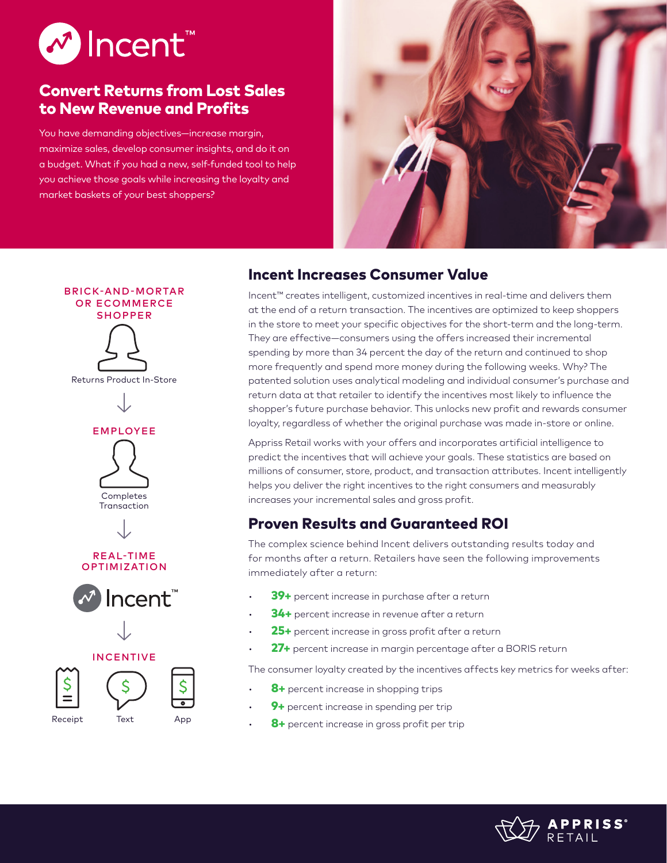

# Convert Returns from Lost Sales to New Revenue and Profits

You have demanding objectives—increase margin, maximize sales, develop consumer insights, and do it on a budget. What if you had a new, self-funded tool to help you achieve those goals while increasing the loyalty and market baskets of your best shoppers?



## BRICK-AND-MORTAR OR ECOMMERCE SHOPPER









## REAL-TIME OPTIMIZATION





INCENTIVE





# Incent Increases Consumer Value

Incent™ creates intelligent, customized incentives in real-time and delivers them at the end of a return transaction. The incentives are optimized to keep shoppers in the store to meet your specific objectives for the short-term and the long-term. They are effective—consumers using the offers increased their incremental spending by more than 34 percent the day of the return and continued to shop more frequently and spend more money during the following weeks. Why? The patented solution uses analytical modeling and individual consumer's purchase and return data at that retailer to identify the incentives most likely to influence the shopper's future purchase behavior. This unlocks new profit and rewards consumer loyalty, regardless of whether the original purchase was made in-store or online.

Appriss Retail works with your offers and incorporates artificial intelligence to predict the incentives that will achieve your goals. These statistics are based on millions of consumer, store, product, and transaction attributes. Incent intelligently helps you deliver the right incentives to the right consumers and measurably increases your incremental sales and gross profit.

# Proven Results and Guaranteed ROI

The complex science behind Incent delivers outstanding results today and for months after a return. Retailers have seen the following improvements immediately after a return:

- 39+ percent increase in purchase after a return
- 34+ percent increase in revenue after a return
- 25+ percent increase in gross profit after a return
- 27+ percent increase in margin percentage after a BORIS return

The consumer loyalty created by the incentives affects key metrics for weeks after:

- 8+ percent increase in shopping trips
- 9+ percent increase in spending per trip
- 8+ percent increase in gross profit per trip